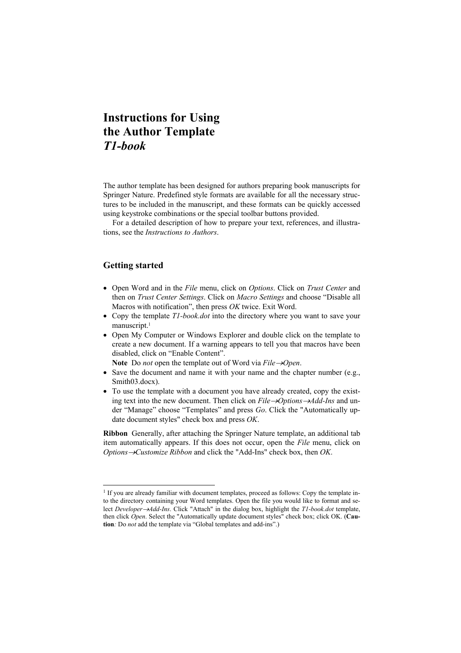The author template has been designed for authors preparing book manuscripts for Springer Nature. Predefined style formats are available for all the necessary structures to be included in the manuscript, and these formats can be quickly accessed using keystroke combinations or the special toolbar buttons provided.

For a detailed description of how to prepare your text, references, and illustrations, see the *Instructions to Authors*.

# **Getting started**

l

- Open Word and in the *File* menu, click on *Options*. Click on *Trust Center* and then on *Trust Center Settings*. Click on *Macro Settings* and choose "Disable all Macros with notification", then press *OK* twice. Exit Word.
- Copy the template *T1-book.dot* into the directory where you want to save your manuscript.<sup>1</sup>
- Open My Computer or Windows Explorer and double click on the template to create a new document. If a warning appears to tell you that macros have been disabled, click on "Enable Content".

Note Do *not* open the template out of Word via *File*  $\rightarrow$ *Open*.

- Save the document and name it with your name and the chapter number (e.g., Smith03.docx).
- To use the template with a document you have already created, copy the existing text into the new document. Then click on *File*  $\rightarrow$ Options  $\rightarrow$ Add-Ins and under "Manage" choose "Templates" and press *Go*. Click the "Automatically update document styles" check box and press *OK*.

**Ribbon** Generally, after attaching the Springer Nature template, an additional tab item automatically appears. If this does not occur, open the *File* menu, click on *Options→Customize Ribbon* and click the "Add-Ins" check box, then *OK*.

<sup>&</sup>lt;sup>1</sup> If you are already familiar with document templates, proceed as follows: Copy the template into the directory containing your Word templates. Open the file you would like to format and select *DeveloperAdd-Ins*. Click "Attach" in the dialog box, highlight the *T1-book.dot* template, then click *Open*. Select the "Automatically update document styles" check box; click OK. (**Caution***:* Do *not* add the template via "Global templates and add-ins".)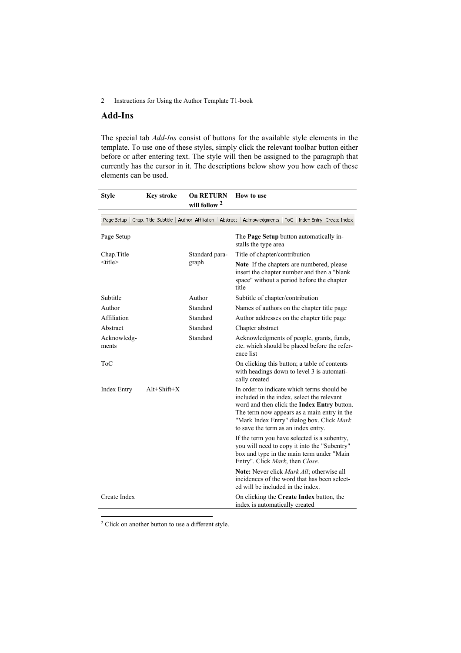# **Add-Ins**

The special tab *Add-Ins* consist of buttons for the available style elements in the template. To use one of these styles, simply click the relevant toolbar button either before or after entering text. The style will then be assigned to the paragraph that currently has the cursor in it. The descriptions below show you how each of these elements can be used.

| <b>Style</b>         | <b>Key stroke</b>    | <b>On RETURN</b><br>will follow 2 | How to use                                                                                                                                                                                                                                                                        |
|----------------------|----------------------|-----------------------------------|-----------------------------------------------------------------------------------------------------------------------------------------------------------------------------------------------------------------------------------------------------------------------------------|
| Page Setup           | Chap. Title Subtitle |                                   | Author Affiliation   Abstract   Acknowledgments   ToC   Index Entry Create Index                                                                                                                                                                                                  |
| Page Setup           |                      |                                   | The <b>Page Setup</b> button automatically in-<br>stalls the type area                                                                                                                                                                                                            |
| Chap. Title          |                      | Standard para-<br>graph           | Title of chapter/contribution                                                                                                                                                                                                                                                     |
| <title></title>      |                      |                                   | Note If the chapters are numbered, please<br>insert the chapter number and then a "blank<br>space" without a period before the chapter<br>title                                                                                                                                   |
| Subtitle             |                      | Author                            | Subtitle of chapter/contribution                                                                                                                                                                                                                                                  |
| Author               |                      | Standard                          | Names of authors on the chapter title page                                                                                                                                                                                                                                        |
| Affiliation          |                      | Standard                          | Author addresses on the chapter title page                                                                                                                                                                                                                                        |
| Abstract             |                      | Standard                          | Chapter abstract                                                                                                                                                                                                                                                                  |
| Acknowledg-<br>ments |                      | Standard                          | Acknowledgments of people, grants, funds,<br>etc. which should be placed before the refer-<br>ence list                                                                                                                                                                           |
| ToC                  |                      |                                   | On clicking this button; a table of contents<br>with headings down to level 3 is automati-<br>cally created                                                                                                                                                                       |
| <b>Index Entry</b>   | $Alt+Shift+X$        |                                   | In order to indicate which terms should be<br>included in the index, select the relevant<br>word and then click the <b>Index Entry</b> button.<br>The term now appears as a main entry in the<br>"Mark Index Entry" dialog box. Click Mark<br>to save the term as an index entry. |
|                      |                      |                                   | If the term you have selected is a subentry,<br>you will need to copy it into the "Subentry"<br>box and type in the main term under "Main<br>Entry". Click Mark, then Close.                                                                                                      |
|                      |                      |                                   | Note: Never click <i>Mark All</i> ; otherwise all<br>incidences of the word that has been select-<br>ed will be included in the index.                                                                                                                                            |
| Create Index         |                      |                                   | On clicking the Create Index button, the<br>index is automatically created                                                                                                                                                                                                        |

2 Click on another button to use a different style.

l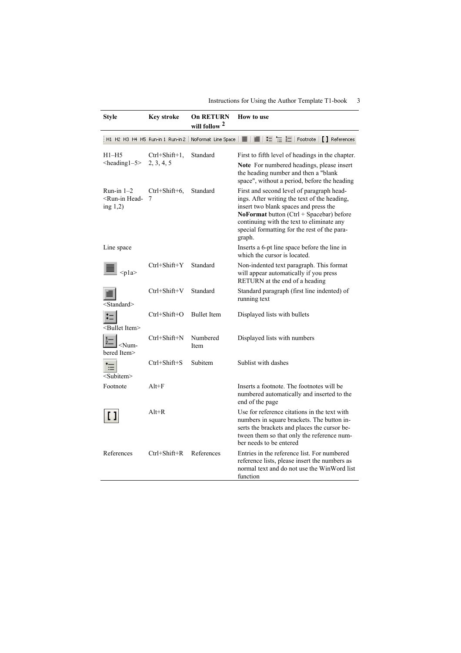| Style                                                              | <b>Key stroke</b>                 | <b>On RETURN</b><br>will follow 2 | How to use                                                                                                                                                                                                                                                                                     |
|--------------------------------------------------------------------|-----------------------------------|-----------------------------------|------------------------------------------------------------------------------------------------------------------------------------------------------------------------------------------------------------------------------------------------------------------------------------------------|
|                                                                    | H1 H2 H3 H4 H5 Run-in 1 Run-in 2  | NoFormat Line Space               | ■ ■ ■ に '三 辷   Footnote   [ ] References                                                                                                                                                                                                                                                       |
| $H1-H5$<br>$<$ heading $1-5$                                       | $Ctrl + Shift + 1,$<br>2, 3, 4, 5 | Standard                          | First to fifth level of headings in the chapter.<br><b>Note</b> For numbered headings, please insert<br>the heading number and then a "blank"<br>space", without a period, before the heading                                                                                                  |
| Run-in $1-2$<br><run-in head-<br="">ing <math>1,2)</math></run-in> | $Ctrl+Shift+6$ ,<br>7             | Standard                          | First and second level of paragraph head-<br>ings. After writing the text of the heading,<br>insert two blank spaces and press the<br><b>NoFormat</b> button $(Ctrl + Spacebar)$ before<br>continuing with the text to eliminate any<br>special formatting for the rest of the para-<br>graph. |
| Line space                                                         |                                   |                                   | Inserts a 6-pt line space before the line in<br>which the cursor is located.                                                                                                                                                                                                                   |
| $<$ pla>                                                           | $Ctrl + Shift + Y$                | Standard                          | Non-indented text paragraph. This format<br>will appear automatically if you press<br>RETURN at the end of a heading                                                                                                                                                                           |
| Standard>                                                          | $Ctrl + Shift + V$                | Standard                          | Standard paragraph (first line indented) of<br>running text                                                                                                                                                                                                                                    |
| <bullet item=""></bullet>                                          | $Ctrl + Shift + O$                | <b>Bullet</b> Item                | Displayed lists with bullets                                                                                                                                                                                                                                                                   |
| $<$ Num-<br>bered Item>                                            | Ctrl+Shift+N                      | Numbered<br>Item                  | Displayed lists with numbers                                                                                                                                                                                                                                                                   |
| $\coloneqq$<br><subitem></subitem>                                 | $Ctrl + Shift + S$                | Subitem                           | Sublist with dashes                                                                                                                                                                                                                                                                            |
| Footnote                                                           | $Alt + F$                         |                                   | Inserts a footnote. The footnotes will be<br>numbered automatically and inserted to the<br>end of the page                                                                                                                                                                                     |
|                                                                    | $Alt+R$                           |                                   | Use for reference citations in the text with<br>numbers in square brackets. The button in-<br>serts the brackets and places the cursor be-<br>tween them so that only the reference num-<br>ber needs to be entered                                                                            |
| References                                                         | $Ctrl + Shift + R$                | References                        | Entries in the reference list. For numbered<br>reference lists, please insert the numbers as<br>normal text and do not use the WinWord list<br>function                                                                                                                                        |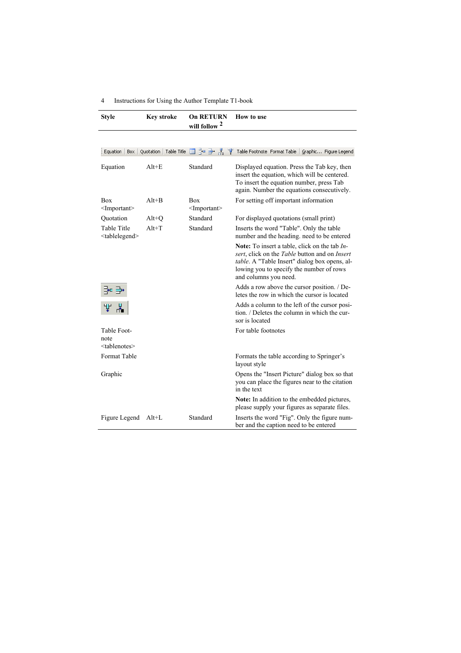| <b>Style</b>                                      | <b>Key stroke</b>       | <b>On RETURN</b><br>will follow 2     | How to use                                                                                                                                                                                                                    |
|---------------------------------------------------|-------------------------|---------------------------------------|-------------------------------------------------------------------------------------------------------------------------------------------------------------------------------------------------------------------------------|
|                                                   |                         |                                       |                                                                                                                                                                                                                               |
| Equation   Box                                    | Quotation   Table Title |                                       | ⊞ 글= 글• 볶, 'Ψ' Table Footnote Format Table   Graphic Figure Legend                                                                                                                                                            |
| Equation                                          | $Alt + E$               | Standard                              | Displayed equation. Press the Tab key, then<br>insert the equation, which will be centered.<br>To insert the equation number, press Tab<br>again. Number the equations consecutively.                                         |
| Box<br>$\leq$ Important $\geq$                    | $Alt+B$                 | <b>Box</b><br>$\leq$ Important $\geq$ | For setting off important information                                                                                                                                                                                         |
| Quotation                                         | $Alt+Q$                 | Standard                              | For displayed quotations (small print)                                                                                                                                                                                        |
| <b>Table Title</b><br><tablelegend></tablelegend> | $Alt+T$                 | Standard                              | Inserts the word "Table". Only the table<br>number and the heading. need to be entered                                                                                                                                        |
|                                                   |                         |                                       | <b>Note:</b> To insert a table, click on the tab $In-$<br>sert, click on the Table button and on Insert<br>table. A "Table Insert" dialog box opens, al-<br>lowing you to specify the number of rows<br>and columns you need. |
| -• •                                              |                         |                                       | Adds a row above the cursor position. / De-<br>letes the row in which the cursor is located                                                                                                                                   |
|                                                   |                         |                                       | Adds a column to the left of the cursor posi-<br>tion. / Deletes the column in which the cur-<br>sor is located                                                                                                               |
| Table Foot-<br>note<br><tablenotes></tablenotes>  |                         |                                       | For table footnotes                                                                                                                                                                                                           |
| Format Table                                      |                         |                                       | Formats the table according to Springer's<br>layout style                                                                                                                                                                     |
| Graphic                                           |                         |                                       | Opens the "Insert Picture" dialog box so that<br>you can place the figures near to the citation<br>in the text                                                                                                                |
|                                                   |                         |                                       | Note: In addition to the embedded pictures,<br>please supply your figures as separate files.                                                                                                                                  |
| Figure Legend                                     | $Alt+L$                 | Standard                              | Inserts the word "Fig". Only the figure num-<br>ber and the caption need to be entered                                                                                                                                        |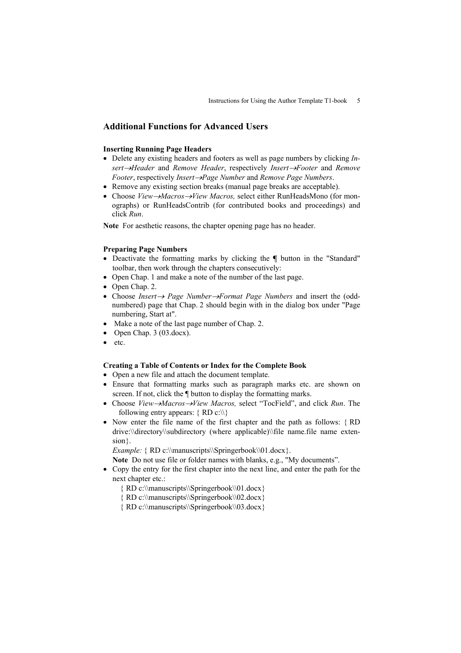# **Additional Functions for Advanced Users**

## **Inserting Running Page Headers**

- Delete any existing headers and footers as well as page numbers by clicking *Insert* $\rightarrow$ *Header* and *Remove Header*, respectively *Insert* $\rightarrow$ *Footer* and *Remove Footer*, respectively *Insert* $\rightarrow$ *Page Number* and *Remove Page Numbers*.
- Remove any existing section breaks (manual page breaks are acceptable).
- Choose *View* $\rightarrow$ *Macros* $\rightarrow$ *View Macros, select either RunHeadsMono (for mon*ographs) or RunHeadsContrib (for contributed books and proceedings) and click *Run*.

**Note** For aesthetic reasons, the chapter opening page has no header.

## **Preparing Page Numbers**

- Deactivate the formatting marks by clicking the **¶** button in the "Standard" toolbar, then work through the chapters consecutively:
- Open Chap. 1 and make a note of the number of the last page.
- Open Chap. 2.
- Choose *Insert Page NumberFormat Page Numbers* and insert the (oddnumbered) page that Chap. 2 should begin with in the dialog box under "Page numbering, Start at".
- Make a note of the last page number of Chap. 2.
- Open Chap. 3 (03.docx).
- etc.

#### **Creating a Table of Contents or Index for the Complete Book**

- Open a new file and attach the document template.
- Ensure that formatting marks such as paragraph marks etc. are shown on screen. If not, click the ¶ button to display the formatting marks.
- Choose *View* $\rightarrow$ *Macros* $\rightarrow$ *View Macros, select* "TocField", and click *Run*. The following entry appears:  $\{ RD \ c:\ \\}$
- Now enter the file name of the first chapter and the path as follows: {RD} drive:\\directory\\subdirectory (where applicable)\\file name.file name extension.

*Example:* { RD c:\\manuscripts\\Springerbook\\01.docx.}

**Note** Do not use file or folder names with blanks, e.g., "My documents".

 Copy the entry for the first chapter into the next line, and enter the path for the next chapter etc.:

RD c:\\manuscripts\\Springerbook\\01.docx

- RD c:\\manuscripts\\Springerbook\\02.docx
- RD c:\\manuscripts\\Springerbook\\03.docx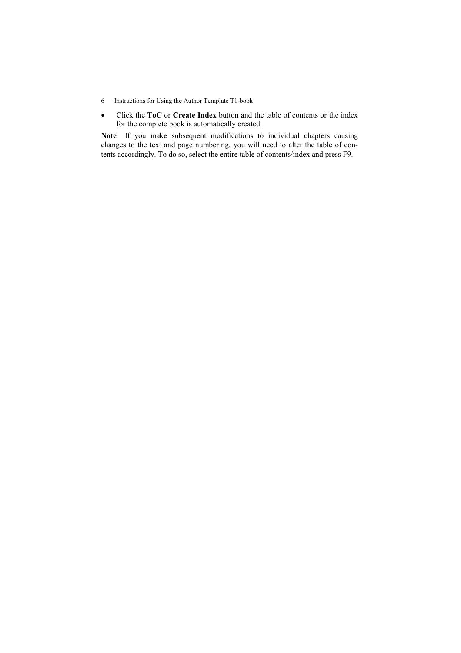- 6 Instructions for Using the Author Template T1-book
- Click the **ToC** or **Create Index** button and the table of contents or the index for the complete book is automatically created.

**Note** If you make subsequent modifications to individual chapters causing changes to the text and page numbering, you will need to alter the table of contents accordingly. To do so, select the entire table of contents/index and press F9.